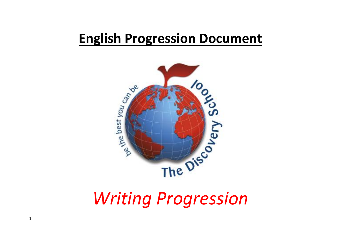## **English Progression Document**

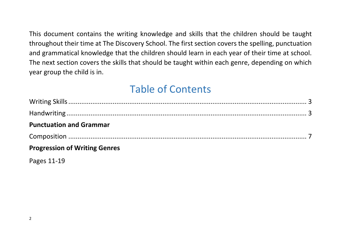This document contains the writing knowledge and skills that the children should be taught throughout their time at The Discovery School. The first section covers the spelling, punctuation and grammatical knowledge that the children should learn in each year of their time at school. The next section covers the skills that should be taught within each genre, depending on which year group the child is in.

## Table of Contents

| <b>Punctuation and Grammar</b>       |  |
|--------------------------------------|--|
|                                      |  |
| <b>Progression of Writing Genres</b> |  |
| $D^2$                                |  |

Pages 11-19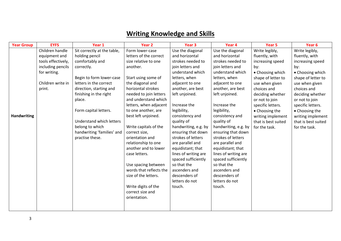## **Writing Knowledge and Skills**

| <b>Year Group</b>  | <b>EYFS</b>        | Year 1                      | Year 2                  | Year <sub>3</sub>    | Year 4               | Year 5              | Year <sub>6</sub>   |
|--------------------|--------------------|-----------------------------|-------------------------|----------------------|----------------------|---------------------|---------------------|
|                    | Children handle    | Sit correctly at the table, | Form lower-case         | Use the diagonal     | Use the diagonal     | Write legibly,      | Write legibly,      |
|                    | equipment and      | holding pencil              | letters of the correct  | and horizontal       | and horizontal       | fluently, with      | fluently, with      |
|                    | tools effectively, | comfortably and             | size relative to one    | strokes needed to    | strokes needed to    | increasing speed    | increasing speed    |
|                    | including pencils  | correctly.                  | another.                | join letters and     | join letters and     | by:                 | by:                 |
|                    | for writing.       |                             |                         | understand which     | understand which     | • Choosing which    | • Choosing which    |
|                    |                    | Begin to form lower-case    | Start using some of     | letters, when        | letters, when        | shape of letter to  | shape of letter to  |
|                    | Children write in  | letters in the correct      | the diagonal and        | adjacent to one      | adjacent to one      | use when given      | use when given      |
|                    | print.             | direction, starting and     | horizontal strokes      | another, are best    | another, are best    | choices and         | choices and         |
|                    |                    | finishing in the right      | needed to join letters  | left unjoined.       | left unjoined.       | deciding whether    | deciding whether    |
|                    |                    | place.                      | and understand which    |                      |                      | or not to join      | or not to join      |
|                    |                    |                             | letters, when adjacent  | Increase the         | Increase the         | specific letters.   | specific letters.   |
|                    |                    | Form capital letters.       | to one another, are     | legibility,          | legibility,          | • Choosing the      | • Choosing the      |
| <b>Handwriting</b> |                    |                             | best left unjoined.     | consistency and      | consistency and      | writing implement   | writing implement   |
|                    |                    | Understand which letters    |                         | quality of           | quality of           | that is best suited | that is best suited |
|                    |                    | belong to which             | Write capitals of the   | handwriting, e.g. by | handwriting, e.g. by | for the task.       | for the task.       |
|                    |                    | handwriting 'families' and  | correct size,           | ensuring that down   | ensuring that down   |                     |                     |
|                    |                    | practise these.             | orientation and         | strokes of letters   | strokes of letters   |                     |                     |
|                    |                    |                             | relationship to one     | are parallel and     | are parallel and     |                     |                     |
|                    |                    |                             | another and to lower    | equidistant; that    | equidistant; that    |                     |                     |
|                    |                    |                             | case letters.           | lines of writing are | lines of writing are |                     |                     |
|                    |                    |                             |                         | spaced sufficiently  | spaced sufficiently  |                     |                     |
|                    |                    |                             | Use spacing between     | so that the          | so that the          |                     |                     |
|                    |                    |                             | words that reflects the | ascenders and        | ascenders and        |                     |                     |
|                    |                    |                             | size of the letters.    | descenders of        | descenders of        |                     |                     |
|                    |                    |                             |                         | letters do not       | letters do not       |                     |                     |
|                    |                    |                             | Write digits of the     | touch.               | touch.               |                     |                     |
|                    |                    |                             | correct size and        |                      |                      |                     |                     |
|                    |                    |                             | orientation.            |                      |                      |                     |                     |
|                    |                    |                             |                         |                      |                      |                     |                     |
|                    |                    |                             |                         |                      |                      |                     |                     |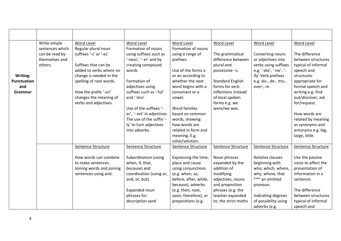|                    | Write simple<br>sentences which | Word Level<br>Regular plural noun | Word Level<br>Formation of nouns | Word Level<br>Formation of nouns | Word Level              | Word Level              | Word Level          |
|--------------------|---------------------------------|-----------------------------------|----------------------------------|----------------------------------|-------------------------|-------------------------|---------------------|
|                    | can be read by                  | suffixes '-s' or '-es'            | using suffixes such as           | using a range of                 | The grammatical         | Converting nouns        | The difference      |
|                    | themselves and                  |                                   | '-ness', '- er' and by           | prefixes.                        | difference between      | or adjectives into      | between structures  |
|                    | others.                         | Suffixes that can be              | creating compound                |                                  | plural and              | verbs using suffixes    | typical of informal |
|                    |                                 | added to verbs where no           | words                            | Use of the forms a               | possessive -s.          | e.g. '-ate', '-ise', '- | speech and          |
| Writing:           |                                 | change is needed in the           |                                  | or an according to               |                         | ify' Verb prefixes      | structures          |
| <b>Punctuation</b> |                                 | spelling of root words.           | Formation of                     | whether the next                 | <b>Standard English</b> | e.g. dis-, de-, mis-,   | appropriate for     |
| and                |                                 |                                   | adjectives using                 | word begins with a               | forms for verb          | over-, re.              | formal speech and   |
| Grammar            |                                 | How the prefix '-un'              | suffixes such as '-ful'          | consonant or a                   | inflections instead     |                         | writing e.g. find   |
|                    |                                 | changes the meaning of            | and '-less'                      | vowel.                           | of local spoken         |                         | out/discover, ask   |
|                    |                                 | verbs and adjectives.             |                                  |                                  | forms e.g. we           |                         | for/request.        |
|                    |                                 |                                   | Use of the suffixes '-           | Word families                    | were/we was.            |                         |                     |
|                    |                                 |                                   | er', '- est' in adjectives       | based on common                  |                         |                         | How words are       |
|                    |                                 |                                   | The use of the suffix '-         | words, showing                   |                         |                         | related by meaning  |
|                    |                                 |                                   | ly' to turn adjectives           | how words are                    |                         |                         | as synonyms and     |
|                    |                                 |                                   | into adverbs.                    | related in form and              |                         |                         | antonyms e.g. big,  |
|                    |                                 |                                   |                                  | meaning. E.g.                    |                         |                         | large, little.      |
|                    |                                 |                                   |                                  | solve/solution.                  |                         |                         |                     |
|                    |                                 | Sentence Structure                | Sentence Structure               | Sentence Structure               | Sentence Structure      | Sentence Structure      | Sentence Structure  |
|                    |                                 | How words can combine             | Subordination (using             | Expressing the time,             | Noun phrases            | Relative clauses        | Use the passive     |
|                    |                                 | to make sentences.                | when, if, that,                  | place and cause                  | expanded by the         | beginning with          | voice to affect the |
|                    |                                 | Joining words and joining         | because) and                     | using conjunctions               | addition of             | who, which, where,      | presentation of     |
|                    |                                 | sentences using and.              | coordination (using or,          | (e.g. when, so,                  | modifying               | why, whose, that        | information in a    |
|                    |                                 |                                   | and, or, but).                   | before, after, while,            | adjectives, nouns       | *** an omitted          | sentence.           |
|                    |                                 |                                   |                                  | because), adverbs                | and preposition         | pronoun.                |                     |
|                    |                                 |                                   | Expanded noun                    | (e.g. then, next,                | phrases (e.g. the       |                         | The difference      |
|                    |                                 |                                   | phrases for                      | soon, therefore), or             | teacher expanded        | Indicating degrees      | between structures  |
|                    |                                 |                                   | description sand                 | prepositions (e.g.               | to: the strict maths    | of possibility using    | typical of informal |
|                    |                                 |                                   |                                  |                                  |                         | adverbs (e.g.           | speech and          |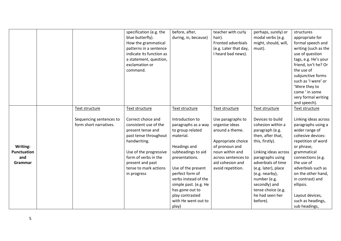|                                                  | Text structure                                    | specification (e.g. the<br>blue butterfly).<br>How the grammatical<br>patterns in a sentence<br>indicate its function as<br>a statement, question,<br>exclamation or<br>command.<br>Text structure                      | before, after,<br>during, in, because)<br>Text structure                                                                                                                                                                                                                                        | teacher with curly<br>hair).<br>Fronted adverbials<br>(e.g. Later that day,<br>I heard bad news).<br>Text structure                                                               | perhaps, surely) or<br>modal verbs (e.g.<br>might, should, will,<br>must).<br>Text structure                                                                                                                                                                                                      | structures<br>appropriate for<br>formal speech and<br>writing (such as the<br>use of question<br>tags, e.g. He's your<br>friend, isn't he? Or<br>the use of<br>subjunctive forms<br>such as 'I were' or<br>'Were they to<br>come ' in some<br>very formal writing<br>and speech).<br>Text structure           |
|--------------------------------------------------|---------------------------------------------------|-------------------------------------------------------------------------------------------------------------------------------------------------------------------------------------------------------------------------|-------------------------------------------------------------------------------------------------------------------------------------------------------------------------------------------------------------------------------------------------------------------------------------------------|-----------------------------------------------------------------------------------------------------------------------------------------------------------------------------------|---------------------------------------------------------------------------------------------------------------------------------------------------------------------------------------------------------------------------------------------------------------------------------------------------|---------------------------------------------------------------------------------------------------------------------------------------------------------------------------------------------------------------------------------------------------------------------------------------------------------------|
| Writing:<br><b>Punctuation</b><br>and<br>Grammar | Sequencing sentences to<br>form short narratives. | Correct choice and<br>consistent use of the<br>present tense and<br>past tense throughout<br>handwriting.<br>Use of the progressive<br>form of verbs in the<br>present and past<br>tense to mark actions<br>in progress | Introduction to<br>paragraphs as a way<br>to group related<br>material.<br>Headings and<br>subheadings to aid<br>presentations.<br>Use of the present<br>perfect form of<br>verbs instead of the<br>simple past. (e.g. He<br>has gone out to<br>play contrasted<br>with He went out to<br>play) | Use paragraphs to<br>organise ideas<br>around a theme.<br>Appropriate choice<br>of pronoun and<br>noun within and<br>across sentences to<br>aid cohesion and<br>avoid repetition. | Devices to build<br>cohesion within a<br>paragraph (e.g.<br>then, after that,<br>this, firstly).<br>Linking ideas across<br>paragraphs using<br>adverbials of time<br>(e.g. later), place<br>(e.g. nearby),<br>number (e.g.<br>secondly) and<br>tense choice (e.g.<br>he had seen her<br>before). | Linking ideas across<br>paragraphs using a<br>wider range of<br>cohesive devices:<br>repetition of word<br>or phrase,<br>grammatical<br>connections (e.g.<br>the use of<br>adverbials such as<br>on the other hand,<br>in contrast) and<br>ellipsis.<br>Layout devices,<br>such as headings,<br>sub headings, |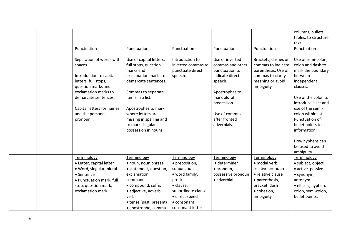|  |                                                                |                                                                                      |                                                                      |                                                                          |                                                                                       | columns, bullets,<br>tables, to structure<br>text.                      |
|--|----------------------------------------------------------------|--------------------------------------------------------------------------------------|----------------------------------------------------------------------|--------------------------------------------------------------------------|---------------------------------------------------------------------------------------|-------------------------------------------------------------------------|
|  | Punctuation                                                    | Punctuation                                                                          | Punctuation                                                          | Punctuation                                                              | Punctuation                                                                           | Punctuation                                                             |
|  | Separation of words with<br>spaces.<br>Introduction to capital | Use of capital letters,<br>full stops, question<br>marks and<br>exclamation marks to | Introduction to<br>inverted commas to<br>punctuate direct<br>speech. | Use of inverted<br>commas and other<br>punctuation to<br>indicate direct | Brackets, dashes or<br>commas to indicate<br>parenthesis. Use of<br>commas to clarify | Use of semi-colon,<br>colon and dash to<br>mark the boundary<br>between |
|  | letters, full stops,                                           | demarcate sentences.                                                                 |                                                                      | speech.                                                                  | meaning or avoid                                                                      | independent                                                             |
|  | question marks and                                             |                                                                                      |                                                                      |                                                                          | ambiguity                                                                             | clauses.                                                                |
|  | exclamation marks to<br>demarcate sentences.                   | Commas to separate<br>items in a list.                                               |                                                                      | Apostrophes to<br>mark plural<br>possession.                             |                                                                                       | Use of the colon to<br>introduce a list and                             |
|  | Capital letters for names                                      | Apostrophes to mark                                                                  |                                                                      |                                                                          |                                                                                       | use of the semi-                                                        |
|  | and the personal<br>pronoun I.                                 | where letters are<br>missing in spelling and                                         |                                                                      | Use of commas<br>after fronted                                           |                                                                                       | colon within lists.<br>Punctuation of                                   |
|  |                                                                | to mark singular                                                                     |                                                                      | adverbials.                                                              |                                                                                       | bullet points to list                                                   |
|  |                                                                | possession in nouns.                                                                 |                                                                      |                                                                          |                                                                                       | information.                                                            |
|  |                                                                |                                                                                      |                                                                      |                                                                          |                                                                                       | How hyphens can<br>be used to avoid<br>ambiguity.                       |
|  | Terminology                                                    | Terminology                                                                          | Terminology                                                          | Terminology                                                              | Terminology                                                                           | Terminology                                                             |
|  | • Letter, capital letter                                       | • noun, noun phrase                                                                  | • preposition,                                                       | · determiner                                                             | · modal verb,                                                                         | · subject, object                                                       |
|  | · Word, singular, plural<br>• Sentence                         | • statement, question,<br>exclamation,                                               | conjunction<br>• word family,                                        | · pronoun,<br>possessive pronoun                                         | relative pronoun<br>• relative clause                                                 | · active, passive                                                       |
|  | • Punctuation mark, full                                       | command                                                                              | prefix                                                               | · adverbial                                                              | • parenthesis,                                                                        | $\bullet$ synonym,<br>antonym                                           |
|  | stop, question mark,                                           | • compound, suffix                                                                   | · clause,                                                            |                                                                          | bracket, dash                                                                         | · ellipsis, hyphen,                                                     |
|  | exclamation mark                                               | · adjective, adverb,                                                                 | subordinate clause                                                   |                                                                          | · cohesion,                                                                           | colon, semi-colon,                                                      |
|  |                                                                | verb                                                                                 | · direct speech                                                      |                                                                          | ambiguity                                                                             | bullet points.                                                          |
|  |                                                                | • tense (past, present)                                                              | · consonant,                                                         |                                                                          |                                                                                       |                                                                         |
|  |                                                                | · apostrophe, comma                                                                  | consonant letter                                                     |                                                                          |                                                                                       |                                                                         |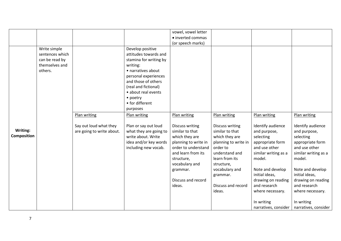|                    |                 |                           |                        | vowel, vowel letter    |                        |                      |                      |
|--------------------|-----------------|---------------------------|------------------------|------------------------|------------------------|----------------------|----------------------|
|                    |                 |                           |                        | · inverted commas      |                        |                      |                      |
|                    |                 |                           |                        | (or speech marks)      |                        |                      |                      |
|                    | Write simple    |                           | Develop positive       |                        |                        |                      |                      |
|                    | sentences which |                           | attitudes towards and  |                        |                        |                      |                      |
|                    | can be read by  |                           | stamina for writing by |                        |                        |                      |                      |
|                    | themselves and  |                           | writing:               |                        |                        |                      |                      |
|                    | others.         |                           | • narratives about     |                        |                        |                      |                      |
|                    |                 |                           | personal experiences   |                        |                        |                      |                      |
|                    |                 |                           | and those of others    |                        |                        |                      |                      |
|                    |                 |                           | (real and fictional)   |                        |                        |                      |                      |
|                    |                 |                           | • about real events    |                        |                        |                      |                      |
|                    |                 |                           | • poetry               |                        |                        |                      |                      |
|                    |                 |                           | • for different        |                        |                        |                      |                      |
|                    |                 |                           | purposes               |                        |                        |                      |                      |
|                    |                 | Plan writing              | Plan writing           | Plan writing           | Plan writing           | Plan writing         | Plan writing         |
|                    |                 |                           |                        |                        |                        |                      |                      |
|                    |                 | Say out loud what they    | Plan or say out loud   | <b>Discuss writing</b> | <b>Discuss writing</b> | Identify audience    | Identify audience    |
| Writing:           |                 | are going to write about. | what they are going to | similar to that        | similar to that        | and purpose,         | and purpose,         |
| <b>Composition</b> |                 |                           | write about. Write     | which they are         | which they are         | selecting            | selecting            |
|                    |                 |                           | idea and/or key words  | planning to write in   | planning to write in   | appropriate form     | appropriate form     |
|                    |                 |                           | including new vocab.   | order to understand    | order to               | and use other        | and use other        |
|                    |                 |                           |                        | and learn from its     | understand and         | similar writing as a | similar writing as a |
|                    |                 |                           |                        | structure,             | learn from its         | model.               | model.               |
|                    |                 |                           |                        | vocabulary and         | structure,             |                      |                      |
|                    |                 |                           |                        | grammar.               | vocabulary and         | Note and develop     | Note and develop     |
|                    |                 |                           |                        |                        | grammar.               | initial ideas,       | initial ideas,       |
|                    |                 |                           |                        | Discuss and record     |                        | drawing on reading   | drawing on reading   |
|                    |                 |                           |                        | ideas.                 | Discuss and record     | and research         | and research         |
|                    |                 |                           |                        |                        | ideas.                 | where necessary.     | where necessary.     |
|                    |                 |                           |                        |                        |                        |                      |                      |
|                    |                 |                           |                        |                        |                        | In writing           | In writing           |
|                    |                 |                           |                        |                        |                        | narratives, consider | narratives, consider |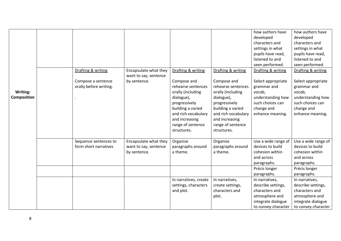|                    |                        |                       |                       |                     | how authors have    | how authors have    |
|--------------------|------------------------|-----------------------|-----------------------|---------------------|---------------------|---------------------|
|                    |                        |                       |                       |                     | developed           | developed           |
|                    |                        |                       |                       |                     | characters and      | characters and      |
|                    |                        |                       |                       |                     | settings in what    | settings in what    |
|                    |                        |                       |                       |                     | pupils have read,   | pupils have read,   |
|                    |                        |                       |                       |                     | listened to and     | listened to and     |
|                    |                        |                       |                       |                     | seen performed.     | seen performed.     |
|                    | Drafting & writing     | Encapsulate what they | Drafting & writing    | Drafting & writing  | Drafting & writing  | Drafting & writing  |
|                    |                        | want to say, sentence |                       |                     |                     |                     |
|                    | Compose a sentence     | by sentence.          | Compose and           | Compose and         | Select appropriate  | Select appropriate  |
|                    | orally before writing. |                       | rehearse sentences    | rehearse sentences  | grammar and         | grammar and         |
| Writing:           |                        |                       | orally (including     | orally (including   | vocab,              | vocab,              |
| <b>Composition</b> |                        |                       | dialogue),            | dialogue),          | understanding how   | understanding how   |
|                    |                        |                       | progressively         | progressively       | such choices can    | such choices can    |
|                    |                        |                       | building a varied     | building a varied   | change and          | change and          |
|                    |                        |                       | and rich vocabulary   | and rich vocabulary | enhance meaning.    | enhance meaning.    |
|                    |                        |                       | and increasing        | and increasing      |                     |                     |
|                    |                        |                       | range of sentence     | range of sentence   |                     |                     |
|                    |                        |                       | structures.           | structures.         |                     |                     |
|                    | Sequence sentences to  | Encapsulate what they | Organise              | Organise            | Use a wide range of | Use a wide range of |
|                    | form short narratives  | want to say, sentence | paragraphs around     | paragraphs around   | devices to build    | devices to build    |
|                    |                        | by sentence.          | a theme.              | a theme.            | cohesion within     | cohesion within     |
|                    |                        |                       |                       |                     | and across          | and across          |
|                    |                        |                       |                       |                     | paragraphs.         | paragraphs.         |
|                    |                        |                       |                       |                     | Précis longer       | Précis longer       |
|                    |                        |                       |                       |                     | paragraphs.         | paragraphs.         |
|                    |                        |                       | In narratives, create | In narratives,      | In narratives,      | In narratives,      |
|                    |                        |                       | settings, characters  | create settings,    | describe settings,  | describe settings,  |
|                    |                        |                       | and plot.             | characters and      | characters and      | characters and      |
|                    |                        |                       |                       | plot.               | atmosphere and      | atmosphere and      |
|                    |                        |                       |                       |                     | integrate dialogue  | integrate dialogue  |
|                    |                        |                       |                       |                     | to convey character | to convey character |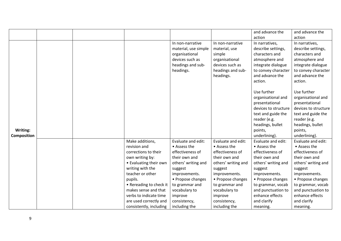|                    |  |                         |                      |                     | and advance the      | and advance the      |
|--------------------|--|-------------------------|----------------------|---------------------|----------------------|----------------------|
|                    |  |                         |                      |                     | action               | action               |
|                    |  |                         | In non-narrative     | In non-narrative    | In narratives,       | In narratives,       |
|                    |  |                         | material, use simple | material, use       | describe settings,   | describe settings,   |
|                    |  |                         | organisational       | simple              | characters and       | characters and       |
|                    |  |                         | devices such as      | organisational      | atmosphere and       | atmosphere and       |
|                    |  |                         | headings and sub-    | devices such as     | integrate dialogue   | integrate dialogue   |
|                    |  |                         | headings.            | headings and sub-   | to convey character  | to convey character  |
|                    |  |                         |                      | headings.           | and advance the      | and advance the      |
|                    |  |                         |                      |                     | action.              | action.              |
|                    |  |                         |                      |                     |                      |                      |
|                    |  |                         |                      |                     | Use further          | Use further          |
|                    |  |                         |                      |                     | organisational and   | organisational and   |
|                    |  |                         |                      |                     | presentational       | presentational       |
|                    |  |                         |                      |                     | devices to structure | devices to structure |
|                    |  |                         |                      |                     | text and guide the   | text and guide the   |
|                    |  |                         |                      |                     | reader (e.g.         | reader (e.g.         |
|                    |  |                         |                      |                     | headings, bullet     | headings, bullet     |
| Writing:           |  |                         |                      |                     | points,              | points,              |
| <b>Composition</b> |  |                         |                      |                     | underlining).        | underlining).        |
|                    |  | Make additions,         | Evaluate and edit:   | Evaluate and edit:  | Evaluate and edit:   | Evaluate and edit:   |
|                    |  | revision and            | • Assess the         | • Assess the        | • Assess the         | • Assess the         |
|                    |  | corrections to their    | effectiveness of     | effectiveness of    | effectiveness of     | effectiveness of     |
|                    |  | own writing by:         | their own and        | their own and       | their own and        | their own and        |
|                    |  | • Evaluating their own  | others' writing and  | others' writing and | others' writing and  | others' writing and  |
|                    |  | writing with the        | suggest              | suggest             | suggest              | suggest              |
|                    |  | teacher or other        | improvements.        | improvements.       | improvements.        | improvements.        |
|                    |  | pupils.                 | • Propose changes    | • Propose changes   | • Propose changes    | • Propose changes    |
|                    |  | • Rereading to check it | to grammar and       | to grammar and      | to grammar, vocab    | to grammar, vocab    |
|                    |  | makes sense and that    | vocabulary to        | vocabulary to       | and punctuation to   | and punctuation to   |
|                    |  | verbs to indicate time  | improve              | improve             | enhance effects      | enhance effects      |
|                    |  | are used correctly and  | consistency,         | consistency,        | and clarify          | and clarify          |
|                    |  | consistently, including | including the        | including the       | meaning.             | meaning.             |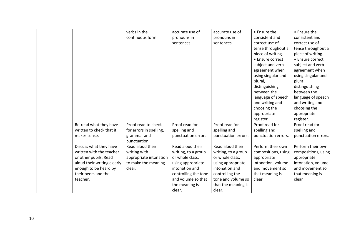|  |                             | verbs in the            | accurate use of      | accurate use of     | • Ensure the        | • Ensure the        |
|--|-----------------------------|-------------------------|----------------------|---------------------|---------------------|---------------------|
|  |                             | continuous form.        | pronouns in          | pronouns in         | consistent and      | consistent and      |
|  |                             |                         | sentences.           | sentences.          | correct use of      | correct use of      |
|  |                             |                         |                      |                     | tense throughout a  | tense throughout a  |
|  |                             |                         |                      |                     | piece of writing.   | piece of writing.   |
|  |                             |                         |                      |                     | • Ensure correct    | • Ensure correct    |
|  |                             |                         |                      |                     | subject and verb    | subject and verb    |
|  |                             |                         |                      |                     | agreement when      | agreement when      |
|  |                             |                         |                      |                     | using singular and  | using singular and  |
|  |                             |                         |                      |                     | plural,             | plural,             |
|  |                             |                         |                      |                     | distinguishing      | distinguishing      |
|  |                             |                         |                      |                     | between the         | between the         |
|  |                             |                         |                      |                     | language of speech  | language of speech  |
|  |                             |                         |                      |                     | and writing and     | and writing and     |
|  |                             |                         |                      |                     | choosing the        | choosing the        |
|  |                             |                         |                      |                     | appropriate         | appropriate         |
|  |                             |                         |                      |                     | register.           | register.           |
|  | Re-read what they have      | Proof read to check     | Proof read for       | Proof read for      | Proof read for      | Proof read for      |
|  | written to check that it    | for errors in spelling, | spelling and         | spelling and        | spelling and        | spelling and        |
|  | makes sense.                | grammar and             | punctuation errors.  | punctuation errors. | punctuation errors. | punctuation errors. |
|  |                             | punctuation.            |                      |                     |                     |                     |
|  | Discuss what they have      | Read aloud their        | Read aloud their     | Read aloud their    | Perform their own   | Perform their own   |
|  | written with the teacher    | writing with            | writing, to a group  | writing, to a group | compositions, using | compositions, using |
|  | or other pupils. Read       | appropriate intonation  | or whole class,      | or whole class,     | appropriate         | appropriate         |
|  | aloud their writing clearly | to make the meaning     | using appropriate    | using appropriate   | intonation, volume  | intonation, volume  |
|  | enough to be heard by       | clear.                  | intonation and       | intonation and      | and movement so     | and movement so     |
|  | their peers and the         |                         | controlling the tone | controlling the     | that meaning is     | that meaning is     |
|  | teacher.                    |                         | and volume so that   | tone and volume so  | clear               | clear               |
|  |                             |                         | the meaning is       | that the meaning is |                     |                     |
|  |                             |                         | clear.               | clear.              |                     |                     |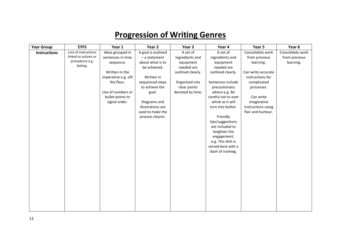## **Progression of Writing Genres**

| <b>Year Group</b>   | <b>EYFS</b>           | Year 1               | Year 2             | Year 3            | Year 4              | Year 5             | Year 6           |
|---------------------|-----------------------|----------------------|--------------------|-------------------|---------------------|--------------------|------------------|
| <b>Instructions</b> | Lists of instructions | Ideas grouped in     | A goal is outlined | A set of          | A set of            | Consolidate work   | Consolidate work |
|                     | linked to actions or  | sentences in time    | - a statement      | ingredients and   | ingredients and     | from previous      | from previous    |
|                     | procedures e.g.       | sequence.            | about what is to   | equipment         | equipment           | learning.          | learning.        |
|                     | baking.               |                      | be achieved.       | needed are        | needed are          |                    |                  |
|                     |                       | Written in the       |                    | outlined clearly. | outlined clearly.   | Can write accurate |                  |
|                     |                       | imperative e.g. sift | Written in         |                   |                     | instructions for   |                  |
|                     |                       | the flour.           | sequenced steps    | Organised into    | Sentences include   | complicated        |                  |
|                     |                       |                      | to achieve the     | clear points      | precautionary       | processes.         |                  |
|                     |                       | Use of numbers or    | goal.              | denoted by time.  | advice e.g. Be      |                    |                  |
|                     |                       | bullet points to     |                    |                   | careful not to over | Can write          |                  |
|                     |                       | signal order.        | Diagrams and       |                   | whisk as it will    | imaginative        |                  |
|                     |                       |                      | illustrations are  |                   | turn into butter.   | instructions using |                  |
|                     |                       |                      | used to make the   |                   |                     | flair and humour.  |                  |
|                     |                       |                      | process clearer.   |                   | Friendly            |                    |                  |
|                     |                       |                      |                    |                   | tips/suggestions    |                    |                  |
|                     |                       |                      |                    |                   | are included to     |                    |                  |
|                     |                       |                      |                    |                   | heighten the        |                    |                  |
|                     |                       |                      |                    |                   | engagement.         |                    |                  |
|                     |                       |                      |                    |                   | e.g. This dish is   |                    |                  |
|                     |                       |                      |                    |                   | served best with a  |                    |                  |
|                     |                       |                      |                    |                   | dash of nutmeg.     |                    |                  |
|                     |                       |                      |                    |                   |                     |                    |                  |
|                     |                       |                      |                    |                   |                     |                    |                  |
|                     |                       |                      |                    |                   |                     |                    |                  |
|                     |                       |                      |                    |                   |                     |                    |                  |
|                     |                       |                      |                    |                   |                     |                    |                  |
|                     |                       |                      |                    |                   |                     |                    |                  |
|                     |                       |                      |                    |                   |                     |                    |                  |
|                     |                       |                      |                    |                   |                     |                    |                  |
|                     |                       |                      |                    |                   |                     |                    |                  |
|                     |                       |                      |                    |                   |                     |                    |                  |
|                     |                       |                      |                    |                   |                     |                    |                  |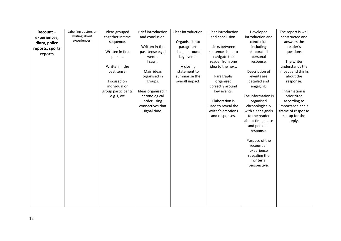| Recount-        | Labelling posters or | Ideas grouped      | <b>Brief introduction</b> | Clear introduction. | Clear introduction | Developed                   | The report is well |
|-----------------|----------------------|--------------------|---------------------------|---------------------|--------------------|-----------------------------|--------------------|
| experiences,    | writing about        | together in time   | and conclusion.           |                     | and conclusion.    | introduction and            | constructed and    |
| diary, police   | experiences.         | sequence.          |                           | Organised into      |                    | conclusion                  | answers the        |
| reports, sports |                      |                    | Written in the            | paragraphs          | Links between      | including                   | reader's           |
| reports         |                      | Written in first   | past tense e.g. I         | shaped around       | sentences help to  | elaborated                  | questions.         |
|                 |                      | person.            | went                      | key events.         | navigate the       | personal                    |                    |
|                 |                      |                    | I saw                     |                     | reader from one    | response.                   | The writer         |
|                 |                      | Written in the     |                           | A closing           | idea to the next.  |                             | understands the    |
|                 |                      | past tense.        | Main ideas                | statement to        |                    | Description of              | impact and thinks  |
|                 |                      |                    | organised in              | summarise the       | Paragraphs         | events are                  | about the          |
|                 |                      | Focused on         | groups.                   | overall impact.     | organised          | detailed and                | response.          |
|                 |                      | individual or      |                           |                     | correctly around   | engaging.                   |                    |
|                 |                      | group participants | Ideas organised in        |                     | key events.        |                             | Information is     |
|                 |                      | e.g. I, we         | chronological             |                     |                    | The information is          | prioritized        |
|                 |                      |                    | order using               |                     | Elaboration is     | organised                   | according to       |
|                 |                      |                    | connectives that          |                     | used to reveal the | chronologically             | importance and a   |
|                 |                      |                    | signal time.              |                     | writer's emotions  | with clear signals          | frame of response  |
|                 |                      |                    |                           |                     | and responses.     | to the reader               | set up for the     |
|                 |                      |                    |                           |                     |                    | about time, place           | reply.             |
|                 |                      |                    |                           |                     |                    | and personal                |                    |
|                 |                      |                    |                           |                     |                    | response.                   |                    |
|                 |                      |                    |                           |                     |                    |                             |                    |
|                 |                      |                    |                           |                     |                    | Purpose of the              |                    |
|                 |                      |                    |                           |                     |                    | recount an                  |                    |
|                 |                      |                    |                           |                     |                    | experience<br>revealing the |                    |
|                 |                      |                    |                           |                     |                    | writer's                    |                    |
|                 |                      |                    |                           |                     |                    | perspective.                |                    |
|                 |                      |                    |                           |                     |                    |                             |                    |
|                 |                      |                    |                           |                     |                    |                             |                    |
|                 |                      |                    |                           |                     |                    |                             |                    |
|                 |                      |                    |                           |                     |                    |                             |                    |
|                 |                      |                    |                           |                     |                    |                             |                    |
|                 |                      |                    |                           |                     |                    |                             |                    |
|                 |                      |                    |                           |                     |                    |                             |                    |
|                 |                      |                    |                           |                     |                    |                             |                    |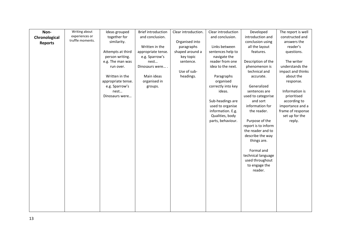| Writing about<br><b>Brief introduction</b><br>Ideas grouped<br>Clear introduction.<br>Clear introduction<br>Developed<br>Non- | The report is well |
|-------------------------------------------------------------------------------------------------------------------------------|--------------------|
| experiences or<br>together for<br>introduction and<br>and conclusion.<br>and conclusion.<br>Chronological                     | constructed and    |
| truffle moments.<br>similarity.<br>Organised into<br>conclusion using<br><b>Reports</b>                                       | answers the        |
| Links between<br>all the layout<br>Written in the<br>paragraphs                                                               | reader's           |
| shaped around a<br>Attempts at third<br>appropriate tense.<br>sentences help to<br>features.                                  | questions.         |
| person writing.<br>e.g. Sparrow's<br>key topic<br>navigate the                                                                |                    |
| reader from one<br>Description of the<br>e.g. The man was<br>nest<br>sentence.                                                | The writer         |
| idea to the next.<br>phenomenon is<br>Dinosaurs were<br>run over.                                                             | understands the    |
| Use of sub-<br>technical and                                                                                                  | impact and thinks  |
| Written in the<br>Main ideas<br>headings.<br>Paragraphs<br>accurate.                                                          | about the          |
| appropriate tense.<br>organised in<br>organised                                                                               | response.          |
| correctly into key<br>e.g. Sparrow's<br>Generalized<br>groups.                                                                |                    |
| nest<br>ideas.<br>sentences are                                                                                               | Information is     |
| used to categorise<br>Dinosaurs were                                                                                          | prioritised        |
| Sub-headings are<br>and sort                                                                                                  | according to       |
| used to organise<br>information for                                                                                           | importance and a   |
| information. E.g.<br>the reader.                                                                                              | frame of response  |
| Qualities, body                                                                                                               | set up for the     |
| Purpose of the<br>parts, behaviour.                                                                                           | reply.             |
| report is to inform<br>the reader and to                                                                                      |                    |
| describe the way                                                                                                              |                    |
| things are.                                                                                                                   |                    |
|                                                                                                                               |                    |
| Formal and                                                                                                                    |                    |
| technical language                                                                                                            |                    |
| used throughout                                                                                                               |                    |
| to engage the                                                                                                                 |                    |
| reader.                                                                                                                       |                    |
|                                                                                                                               |                    |
|                                                                                                                               |                    |
|                                                                                                                               |                    |
|                                                                                                                               |                    |
|                                                                                                                               |                    |
|                                                                                                                               |                    |
|                                                                                                                               |                    |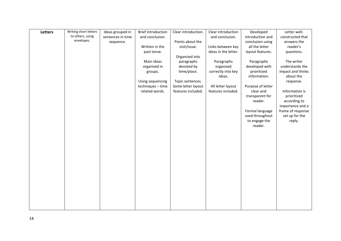| Letters | Writing short letters | Ideas grouped in  | <b>Brief introduction</b> | Clear introduction. | Clear introduction   | Developed         | Letter well-      |
|---------|-----------------------|-------------------|---------------------------|---------------------|----------------------|-------------------|-------------------|
|         | to others, using      | sentences in time | and conclusion.           |                     | and conclusion.      | introduction and  | constructed that  |
|         | envelopes.            | sequence.         |                           | Points about the    |                      | conclusion using  | answers the       |
|         |                       |                   | Written in the            | visit/issue.        | Links between key    | all the letter    | reader's          |
|         |                       |                   | past tense.               |                     | ideas in the letter. | layout features.  | questions.        |
|         |                       |                   |                           | Organised into      |                      |                   |                   |
|         |                       |                   | Main ideas                | paragraphs          | Paragraphs           | Paragraphs        | The writer        |
|         |                       |                   | organised in              | denoted by          | organised            | developed with    | understands the   |
|         |                       |                   | groups.                   | time/place.         | correctly into key   | prioritized       | impact and thinks |
|         |                       |                   |                           |                     | ideas.               | information.      | about the         |
|         |                       |                   | Using sequencing          | Topic sentences.    |                      |                   | response.         |
|         |                       |                   | techniques - time         | Some letter layout  | All letter layout    | Purpose of letter |                   |
|         |                       |                   | related words.            | features included.  | features included.   | clear and         | Information is    |
|         |                       |                   |                           |                     |                      | transparent for   | prioritized       |
|         |                       |                   |                           |                     |                      | reader.           | according to      |
|         |                       |                   |                           |                     |                      |                   | importance and a  |
|         |                       |                   |                           |                     |                      | Formal language   | frame of response |
|         |                       |                   |                           |                     |                      | used throughout   | set up for the    |
|         |                       |                   |                           |                     |                      | to engage the     | reply.            |
|         |                       |                   |                           |                     |                      | reader.           |                   |
|         |                       |                   |                           |                     |                      |                   |                   |
|         |                       |                   |                           |                     |                      |                   |                   |
|         |                       |                   |                           |                     |                      |                   |                   |
|         |                       |                   |                           |                     |                      |                   |                   |
|         |                       |                   |                           |                     |                      |                   |                   |
|         |                       |                   |                           |                     |                      |                   |                   |
|         |                       |                   |                           |                     |                      |                   |                   |
|         |                       |                   |                           |                     |                      |                   |                   |
|         |                       |                   |                           |                     |                      |                   |                   |
|         |                       |                   |                           |                     |                      |                   |                   |
|         |                       |                   |                           |                     |                      |                   |                   |
|         |                       |                   |                           |                     |                      |                   |                   |
|         |                       |                   |                           |                     |                      |                   |                   |
|         |                       |                   |                           |                     |                      |                   |                   |
|         |                       |                   |                           |                     |                      |                   |                   |
|         |                       |                   |                           |                     |                      |                   |                   |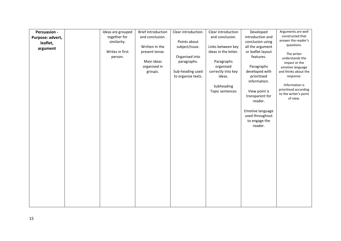| <b>Persuasion -</b> | Ideas are grouped | <b>Brief introduction</b> | Clear introduction. | Clear introduction   | Developed                | Arguments are well    |
|---------------------|-------------------|---------------------------|---------------------|----------------------|--------------------------|-----------------------|
| Purpose: advert,    | together for      | and conclusion.           |                     | and conclusion.      | introduction and         | constructed that      |
| leaflet,            | similarity.       |                           | Points about        |                      | conclusion using         | answer the reader's   |
| argument            |                   | Written In the            | subject/issue.      | Links between key    | all the argument         | questions.            |
|                     | Writes in first   | present tense.            |                     | ideas in the letter. | or leaflet layout        | The writer            |
|                     | person.           |                           | Organised into      |                      | features.                | understands the       |
|                     |                   | Main ideas                | paragraphs.         | Paragraphs           |                          | impact or the         |
|                     |                   | organised in              |                     | organised            | Paragraphs               | emotive language      |
|                     |                   | groups.                   | Sub-heading used    | correctly into key   | developed with           | and thinks about the  |
|                     |                   |                           | to organise texts.  | ideas.               | prioritised              | response.             |
|                     |                   |                           |                     |                      | information.             | Information is        |
|                     |                   |                           |                     | Subheading           |                          | prioritised according |
|                     |                   |                           |                     | Topic sentences      | View point is            | to the writer's point |
|                     |                   |                           |                     |                      | transparent for          | of view.              |
|                     |                   |                           |                     |                      | reader.                  |                       |
|                     |                   |                           |                     |                      |                          |                       |
|                     |                   |                           |                     |                      | Emotive language         |                       |
|                     |                   |                           |                     |                      | used throughout          |                       |
|                     |                   |                           |                     |                      | to engage the<br>reader. |                       |
|                     |                   |                           |                     |                      |                          |                       |
|                     |                   |                           |                     |                      |                          |                       |
|                     |                   |                           |                     |                      |                          |                       |
|                     |                   |                           |                     |                      |                          |                       |
|                     |                   |                           |                     |                      |                          |                       |
|                     |                   |                           |                     |                      |                          |                       |
|                     |                   |                           |                     |                      |                          |                       |
|                     |                   |                           |                     |                      |                          |                       |
|                     |                   |                           |                     |                      |                          |                       |
|                     |                   |                           |                     |                      |                          |                       |
|                     |                   |                           |                     |                      |                          |                       |
|                     |                   |                           |                     |                      |                          |                       |
|                     |                   |                           |                     |                      |                          |                       |
|                     |                   |                           |                     |                      |                          |                       |
|                     |                   |                           |                     |                      |                          |                       |
|                     |                   |                           |                     |                      |                          |                       |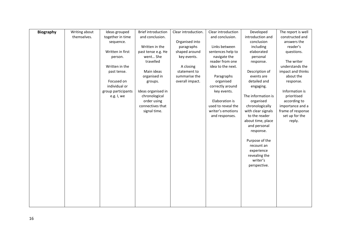| <b>Biography</b> | Writing about | Ideas grouped      | <b>Brief introduction</b> | Clear introduction. | Clear introduction | Developed          | The report is well |
|------------------|---------------|--------------------|---------------------------|---------------------|--------------------|--------------------|--------------------|
|                  | themselves.   | together in time   | and conclusion.           |                     | and conclusion.    | introduction and   | constructed and    |
|                  |               | sequence.          |                           | Organised into      |                    | conclusion         | answers the        |
|                  |               |                    | Written in the            | paragraphs          | Links between      | including          | reader's           |
|                  |               | Written in first   | past tense e.g. He        | shaped around       | sentences help to  | elaborated         | questions.         |
|                  |               | person.            | went She                  | key events.         | navigate the       | personal           |                    |
|                  |               |                    | travelled                 |                     | reader from one    | response.          | The writer         |
|                  |               | Written in the     |                           | A closing           | idea to the next.  |                    | understands the    |
|                  |               | past tense.        | Main ideas                | statement to        |                    | Description of     | impact and thinks  |
|                  |               |                    | organised in              | summarise the       | Paragraphs         | events are         | about the          |
|                  |               | Focused on         | groups.                   | overall impact.     | organised          | detailed and       | response.          |
|                  |               | individual or      |                           |                     | correctly around   | engaging.          |                    |
|                  |               | group participants | Ideas organised in        |                     | key events.        |                    | Information is     |
|                  |               | e.g. I, we         | chronological             |                     |                    | The information is | prioritised        |
|                  |               |                    | order using               |                     | Elaboration is     | organised          | according to       |
|                  |               |                    | connectives that          |                     | used to reveal the | chronologically    | importance and a   |
|                  |               |                    | signal time.              |                     | writer's emotions  | with clear signals | frame of response  |
|                  |               |                    |                           |                     | and responses.     | to the reader      | set up for the     |
|                  |               |                    |                           |                     |                    | about time, place  | reply.             |
|                  |               |                    |                           |                     |                    | and personal       |                    |
|                  |               |                    |                           |                     |                    | response.          |                    |
|                  |               |                    |                           |                     |                    |                    |                    |
|                  |               |                    |                           |                     |                    | Purpose of the     |                    |
|                  |               |                    |                           |                     |                    | recount an         |                    |
|                  |               |                    |                           |                     |                    | experience         |                    |
|                  |               |                    |                           |                     |                    | revealing the      |                    |
|                  |               |                    |                           |                     |                    | writer's           |                    |
|                  |               |                    |                           |                     |                    | perspective.       |                    |
|                  |               |                    |                           |                     |                    |                    |                    |
|                  |               |                    |                           |                     |                    |                    |                    |
|                  |               |                    |                           |                     |                    |                    |                    |
|                  |               |                    |                           |                     |                    |                    |                    |
|                  |               |                    |                           |                     |                    |                    |                    |
|                  |               |                    |                           |                     |                    |                    |                    |
|                  |               |                    |                           |                     |                    |                    |                    |
|                  |               |                    |                           |                     |                    |                    |                    |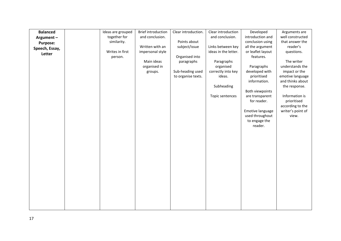| <b>Balanced</b> | Ideas are grouped | <b>Brief introduction</b> | Clear introduction. | Clear introduction   | Developed                        | Arguments are     |
|-----------------|-------------------|---------------------------|---------------------|----------------------|----------------------------------|-------------------|
| Argument-       | together for      | and conclusion.           |                     | and conclusion.      | introduction and                 | well constructed  |
| <b>Purpose:</b> | similarity.       |                           | Points about        |                      | conclusion using                 | that answer the   |
| Speech, Essay,  |                   | Written with an           | subject/issue       | Links between key    | all the argument                 | reader's          |
| Letter          | Writes in first   | impersonal style          |                     | ideas in the letter. | or leaflet layout                | questions.        |
|                 | person.           |                           | Organised into      |                      | features.                        |                   |
|                 |                   | Main ideas                | paragraphs          | Paragraphs           |                                  | The writer        |
|                 |                   | organised in              |                     | organised            | Paragraphs                       | understands the   |
|                 |                   | groups.                   | Sub-heading used    | correctly into key   | developed with                   | impact or the     |
|                 |                   |                           | to organise texts.  | ideas.               | prioritised                      | emotive language  |
|                 |                   |                           |                     |                      | information.                     | and thinks about  |
|                 |                   |                           |                     | Subheading           |                                  | the response.     |
|                 |                   |                           |                     |                      | Both viewpoints                  |                   |
|                 |                   |                           |                     | Topic sentences      | are transparent                  | Information is    |
|                 |                   |                           |                     |                      | for reader.                      | prioritised       |
|                 |                   |                           |                     |                      |                                  | according to the  |
|                 |                   |                           |                     |                      | Emotive language                 | writer's point of |
|                 |                   |                           |                     |                      | used throughout<br>to engage the | view.             |
|                 |                   |                           |                     |                      | reader.                          |                   |
|                 |                   |                           |                     |                      |                                  |                   |
|                 |                   |                           |                     |                      |                                  |                   |
|                 |                   |                           |                     |                      |                                  |                   |
|                 |                   |                           |                     |                      |                                  |                   |
|                 |                   |                           |                     |                      |                                  |                   |
|                 |                   |                           |                     |                      |                                  |                   |
|                 |                   |                           |                     |                      |                                  |                   |
|                 |                   |                           |                     |                      |                                  |                   |
|                 |                   |                           |                     |                      |                                  |                   |
|                 |                   |                           |                     |                      |                                  |                   |
|                 |                   |                           |                     |                      |                                  |                   |
|                 |                   |                           |                     |                      |                                  |                   |
|                 |                   |                           |                     |                      |                                  |                   |
|                 |                   |                           |                     |                      |                                  |                   |
|                 |                   |                           |                     |                      |                                  |                   |
|                 |                   |                           |                     |                      |                                  |                   |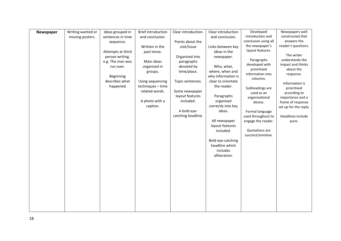| Newspaper | Writing wanted or | Ideas grouped in  | <b>Brief introduction</b> | Clear introduction. | Clear introduction | Developed                     | Newspapers well               |
|-----------|-------------------|-------------------|---------------------------|---------------------|--------------------|-------------------------------|-------------------------------|
|           | missing posters.  | sentences in time | and conclusion.           |                     | and conclusion.    | introduction and              | constructed that              |
|           |                   | sequence.         |                           | Points about the    |                    | conclusion using all          | answers the                   |
|           |                   |                   | Written in the            | visit/issue         | Links between key  | the newspaper's               | reader's questions.           |
|           |                   | Attempts at third | past tense.               |                     | ideas in the       | layout features.              |                               |
|           |                   | person writing.   |                           | Organised into      | newspaper.         |                               | The writer                    |
|           |                   | e.g. The man was  | Main ideas                | paragraphs          |                    | Paragraphs                    | understands the               |
|           |                   | run over.         | organised in              | denoted by          | Who, what,         | developed with                | impact and thinks             |
|           |                   |                   | groups.                   | time/place.         | where, when and    | prioritised                   | about the                     |
|           |                   | Beginning         |                           |                     | why information is | information into              | response.                     |
|           |                   | describes what    | Using sequencing          | Topic sentences.    | clear to orientate | columns.                      |                               |
|           |                   | happened          | techniques - time         |                     | the reader.        |                               | Information is<br>prioritised |
|           |                   |                   | related words.            | Some newspaper      |                    | Subheadings are<br>used as an | according to                  |
|           |                   |                   |                           | layout features     | Paragraphs         | organisational                | importance and a              |
|           |                   |                   | A photo with a            | included.           | organised          | device.                       | frame of response             |
|           |                   |                   | caption.                  |                     | correctly into key |                               | set up for the reply.         |
|           |                   |                   |                           | A bold eye-         | ideas.             | Formal language               |                               |
|           |                   |                   |                           | catching headline.  |                    | used throughout to            | Headlines include             |
|           |                   |                   |                           |                     | All newspaper      | engage the reader.            | puns.                         |
|           |                   |                   |                           |                     | layout features    |                               |                               |
|           |                   |                   |                           |                     | included.          | Quotations are                |                               |
|           |                   |                   |                           |                     |                    | succinct/emotive.             |                               |
|           |                   |                   |                           |                     | Bold eye-catching  |                               |                               |
|           |                   |                   |                           |                     | headline which     |                               |                               |
|           |                   |                   |                           |                     | includes           |                               |                               |
|           |                   |                   |                           |                     | alliteration.      |                               |                               |
|           |                   |                   |                           |                     |                    |                               |                               |
|           |                   |                   |                           |                     |                    |                               |                               |
|           |                   |                   |                           |                     |                    |                               |                               |
|           |                   |                   |                           |                     |                    |                               |                               |
|           |                   |                   |                           |                     |                    |                               |                               |
|           |                   |                   |                           |                     |                    |                               |                               |
|           |                   |                   |                           |                     |                    |                               |                               |
|           |                   |                   |                           |                     |                    |                               |                               |
|           |                   |                   |                           |                     |                    |                               |                               |
|           |                   |                   |                           |                     |                    |                               |                               |
|           |                   |                   |                           |                     |                    |                               |                               |